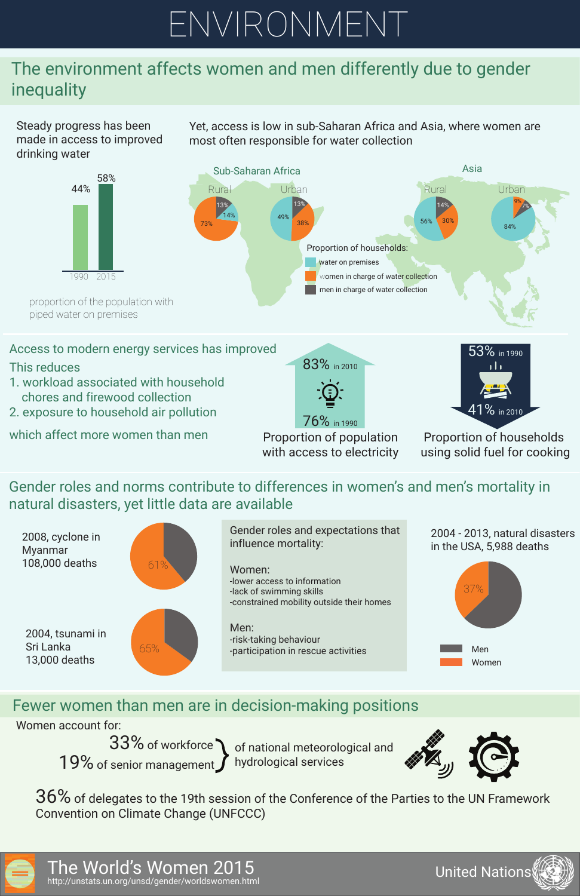The World's Women 2015 http://unstats.un.org/unsd/gender/worldswomen.html





## Fewer women than men are in decision-making positions relations

Steady progress has been made in access to improved drinking water



Yet, access is low in sub-Saharan Africa and Asia, where women are most often responsible for water collection

piped water on premises

#### Access to modern energy services has improved

Proportion of population with access to electricity

Proportion of households using solid fuel for cooking







- This reduces
- 1. workload associated with household chores and firewood collection
- 2. exposure to household air pollution

which affect more women than men

36% of delegates to the 19th session of the Conference of the Parties to the UN Framework Convention on Climate Change (UNFCCC)



Gender roles and norms contribute to differences in women's and men's mortality in natural disasters, yet little data are available







Women account for:

 $33\%$  of workforce  $\bigwedge$  of national meteorological and 19% of senior management  $\int$ 

hydrological services



# ENVIRONMENT

## The environment affects women and men differently due to gender inequality